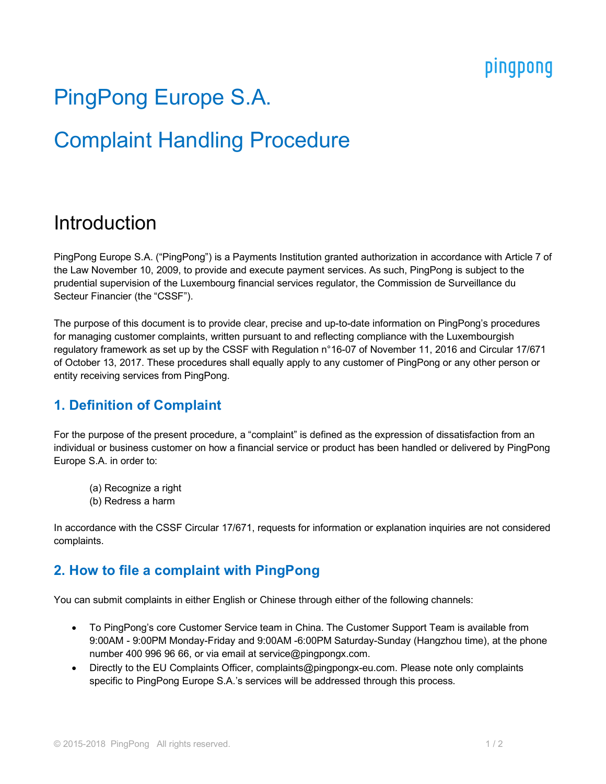## pingpong

# PingPong Europe S.A.

## Complaint Handling Procedure

## Introduction

PingPong Europe S.A. ("PingPong") is a Payments Institution granted authorization in accordance with Article 7 of the Law November 10, 2009, to provide and execute payment services. As such, PingPong is subject to the prudential supervision of the Luxembourg financial services regulator, the Commission de Surveillance du Secteur Financier (the "CSSF").

The purpose of this document is to provide clear, precise and up-to-date information on PingPong's procedures for managing customer complaints, written pursuant to and reflecting compliance with the Luxembourgish regulatory framework as set up by the CSSF with Regulation n°16-07 of November 11, 2016 and Circular 17/671 of October 13, 2017. These procedures shall equally apply to any customer of PingPong or any other person or entity receiving services from PingPong.

### **1. Definition of Complaint**

For the purpose of the present procedure, a "complaint" is defined as the expression of dissatisfaction from an individual or business customer on how a financial service or product has been handled or delivered by PingPong Europe S.A. in order to:

- (a) Recognize a right
- (b) Redress a harm

In accordance with the CSSF Circular 17/671, requests for information or explanation inquiries are not considered complaints.

### **2. How to file a complaint with PingPong**

You can submit complaints in either English or Chinese through either of the following channels:

- To PingPong's core Customer Service team in China. The Customer Support Team is available from 9:00AM - 9:00PM Monday-Friday and 9:00AM -6:00PM Saturday-Sunday (Hangzhou time), at the phone number 400 996 96 66, or via email at service@pingpongx.com.
- Directly to the EU Complaints Officer, complaints@pingpongx-eu.com. Please note only complaints specific to PingPong Europe S.A.'s services will be addressed through this process.